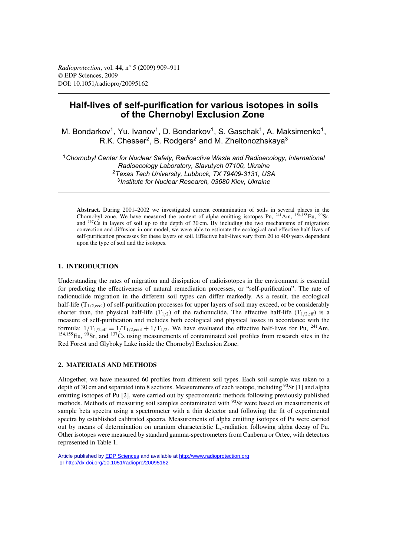# **Half-lives of self-purification for various isotopes in soils of the Chernobyl Exclusion Zone**

M. Bondarkov<sup>1</sup>, Yu. Ivanov<sup>1</sup>, D. Bondarkov<sup>1</sup>, S. Gaschak<sup>1</sup>, A. Maksimenko<sup>1</sup>, R.K. Chesser<sup>2</sup>, B. Rodgers<sup>2</sup> and M. Zheltonozhskaya<sup>3</sup>

*Chornobyl Center for Nuclear Safety, Radioactive Waste and Radioecology, International Radioecology Laboratory, Slavutych 07100, Ukraine Texas Tech University, Lubbock, TX 79409-3131, USA Institute for Nuclear Research, 03680 Kiev, Ukraine*

**Abstract.** During 2001–2002 we investigated current contamination of soils in several places in the Chornobyl zone. We have measured the content of alpha emitting isotopes Pu,  $^{241}$ Am,  $^{154,155}$ Eu,  $^{90}$ Sr, and  $137Cs$  in layers of soil up to the depth of 30 cm. By including the two mechanisms of migration: convection and diffusion in our model, we were able to estimate the ecological and effective half-lives of self-purification processes for these layers of soil. Effective half-lives vary from 20 to 400 years dependent upon the type of soil and the isotopes.

# **1. INTRODUCTION**

Understanding the rates of migration and dissipation of radioisotopes in the environment is essential for predicting the effectiveness of natural remediation processes, or "self-purification". The rate of radionuclide migration in the different soil types can differ markedly. As a result, the ecological half-life  $(T_{1/2,ecol})$  of self-purification processes for upper layers of soil may exceed, or be considerably shorter than, the physical half-life  $(T_{1/2})$  of the radionuclide. The effective half-life  $(T_{1/2,eff})$  is a measure of self-purification and includes both ecological and physical losses in accordance with the formula:  $1/T_{1/2,eff} = 1/T_{1/2,ecol} + 1/T_{1/2}$ . We have evaluated the effective half-lives for Pu, <sup>241</sup>Am, 154,155Eu, 90Sr, and 137Cs using measurements of contaminated soil profiles from research sites in the Red Forest and Glyboky Lake inside the Chornobyl Exclusion Zone.

### **2. MATERIALS AND METHODS**

Altogether, we have measured 60 profiles from different soil types. Each soil sample was taken to a depth of 30 cm and separated into 8 sections. Measurements of each isotope, including  $\frac{90}{S}$  [1] and alpha emitting isotopes of Pu [2], were carried out by spectrometric methods following previously published methods. Methods of measuring soil samples contaminated with <sup>90</sup>Sr were based on measurements of sample beta spectra using a spectrometer with a thin detector and following the fit of experimental spectra by established calibrated spectra. Measurements of alpha emitting isotopes of Pu were carried out by means of determination on uranium characteristic  $L<sub>x</sub>$ -radiation following alpha decay of Pu. Other isotopes were measured by standard gamma-spectrometers from Canberra or Ortec, with detectors represented in Table 1.

Article published by [EDP Sciences](http://www.edpsciences.org) and available at<http://www.radioprotection.org> or <http://dx.doi.org/10.1051/radiopro/20095162>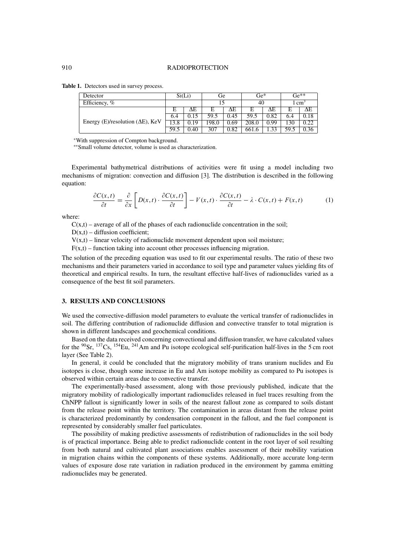**Table 1.** Detectors used in survey process.

| Detector                                  | Si(Li) |      | Ge    |      | $\rm Ge^*$ |      | $\mathrm{Ge}^{**}$ |                   |
|-------------------------------------------|--------|------|-------|------|------------|------|--------------------|-------------------|
| Efficiency, %                             |        |      |       |      | 40         |      | $1 \text{ cm}^3$   |                   |
|                                           | Е      | ΛE   | E     | ΔE   | Е          | ΔΕ   | Е                  | ΛE                |
| Energy (E)/resolution ( $\Delta E$ ), KeV | 6.4    |      | 59.5  | 0.45 | 59.5       | 0.82 | 6.4                | $\overline{0.18}$ |
|                                           | 13.8   | 0.19 | 198.0 | 0.69 | 208.0      | 0.99 | 130                | 0.22              |
|                                           | 59.5   | 0.40 | 307   | 0.82 | 661.6      |      | 59.5               | $0.\overline{36}$ |

<sup>∗</sup>With suppression of Compton background.

∗∗Small volume detector, volume is used as characterization.

Experimental bathymetrical distributions of activities were fit using a model including two mechanisms of migration: convection and diffusion [3]. The distribution is described in the following equation:

$$
\frac{\partial C(x,t)}{\partial t} = \frac{\partial}{\partial x} \left[ D(x,t) \cdot \frac{\partial C(x,t)}{\partial t} \right] - V(x,t) \cdot \frac{\partial C(x,t)}{\partial t} - \lambda \cdot C(x,t) + F(x,t) \tag{1}
$$

where:

 $C(x,t)$  – average of all of the phases of each radionuclide concentration in the soil;

 $D(x,t)$  – diffusion coefficient;

 $V(x,t)$  – linear velocity of radionuclide movement dependent upon soil moisture;

 $F(x,t)$  – function taking into account other processes influencing migration.

The solution of the preceding equation was used to fit our experimental results. The ratio of these two mechanisms and their parameters varied in accordance to soil type and parameter values yielding fits of theoretical and empirical results. In turn, the resultant effective half-lives of radionuclides varied as a consequence of the best fit soil parameters.

#### **3. RESULTS AND CONCLUSIONS**

We used the convective-diffusion model parameters to evaluate the vertical transfer of radionuclides in soil. The differing contribution of radionuclide diffusion and convective transfer to total migration is shown in different landscapes and geochemical conditions.

Based on the data received concerning convectional and diffusion transfer, we have calculated values for the  $90$ Sr,  $137$ Cs,  $154$ Eu,  $241$ Am and Pu isotope ecological self-purification half-lives in the 5 cm root layer (See Table 2).

In general, it could be concluded that the migratory mobility of trans uranium nuclides and Eu isotopes is close, though some increase in Eu and Am isotope mobility as compared to Pu isotopes is observed within certain areas due to convective transfer.

The experimentally-based assessment, along with those previously published, indicate that the migratory mobility of radiologically important radionuclides released in fuel traces resulting from the ChNPP fallout is significantly lower in soils of the nearest fallout zone as compared to soils distant from the release point within the territory. The contamination in areas distant from the release point is characterized predominantly by condensation component in the fallout, and the fuel component is represented by considerably smaller fuel particulates.

The possibility of making predictive assessments of redistribution of radionuclides in the soil body is of practical importance. Being able to predict radionuclide content in the root layer of soil resulting from both natural and cultivated plant associations enables assessment of their mobility variation in migration chains within the components of these systems. Additionally, more accurate long-term values of exposure dose rate variation in radiation produced in the environment by gamma emitting radionuclides may be generated.